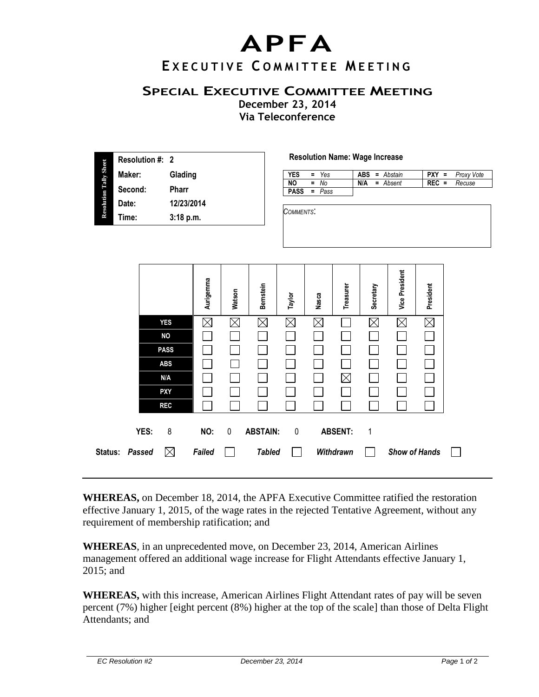## **APFA**

## **E X E C U T I V E C O M M I T T E E M E E T I N G**

## **SPECIAL EXECUTIVE COMMITTEE MEETING**

**December 23, 2014 Via Teleconference**

| <b>Resolution Tally Sheet</b> | <b>Resolution #: 2</b> |              |  |  |  |
|-------------------------------|------------------------|--------------|--|--|--|
|                               | Maker:                 | Glading      |  |  |  |
|                               | Second:                | <b>Pharr</b> |  |  |  |
|                               | Date:                  | 12/23/2014   |  |  |  |
|                               | Time:                  | 3:18 p.m.    |  |  |  |
|                               |                        |              |  |  |  |

## **Resolution Name: Wage Increase**

| YES         | $= Y_{\text{es}}$ |     | $ABS = Abstain$ |         | $PXY = Proxy$ Vote |
|-------------|-------------------|-----|-----------------|---------|--------------------|
| <b>NO</b>   | $=$ No            | N/A | = Absent        | $REC =$ | Recuse             |
| <b>PASS</b> | = Pass            |     |                 |         |                    |

*COMMENTS*:

|                |             | Aurigemma | Watson      | Bernstein          | Taylor      | Nasca       | Treasurer      | Secretary          | <b>Vice President</b> | President   |  |
|----------------|-------------|-----------|-------------|--------------------|-------------|-------------|----------------|--------------------|-----------------------|-------------|--|
|                | <b>YES</b>  | $\times$  | $\boxtimes$ | $\mathord{\times}$ | ⋉           | $\boxtimes$ |                | $\mathord{\times}$ | $\boxtimes$           | $\boxtimes$ |  |
|                | <b>NO</b>   |           |             |                    |             |             |                |                    |                       |             |  |
|                | <b>PASS</b> |           |             |                    |             |             |                |                    |                       |             |  |
|                | <b>ABS</b>  |           |             |                    |             |             |                |                    |                       |             |  |
|                | N/A         |           |             |                    |             |             | $\times$       |                    |                       |             |  |
|                | <b>PXY</b>  |           |             |                    |             |             |                |                    |                       |             |  |
|                | <b>REC</b>  |           |             |                    |             |             |                |                    |                       |             |  |
| YES:           | 8           | NO:       | 0           | <b>ABSTAIN:</b>    | $\mathbf 0$ |             | <b>ABSENT:</b> | 1                  |                       |             |  |
| Status: Passed | $\boxtimes$ | Failed    |             | <b>Tabled</b>      |             |             | Withdrawn      |                    | <b>Show of Hands</b>  |             |  |

**WHEREAS,** on December 18, 2014, the APFA Executive Committee ratified the restoration effective January 1, 2015, of the wage rates in the rejected Tentative Agreement, without any requirement of membership ratification; and

**WHEREAS**, in an unprecedented move, on December 23, 2014, American Airlines management offered an additional wage increase for Flight Attendants effective January 1, 2015; and

**WHEREAS,** with this increase, American Airlines Flight Attendant rates of pay will be seven percent (7%) higher [eight percent (8%) higher at the top of the scale] than those of Delta Flight Attendants; and